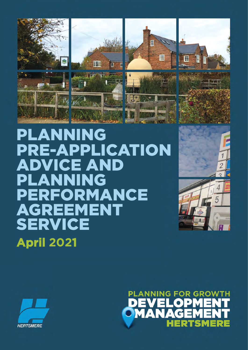

PLANNING PRE-APPLICATION ADVICE AND PLANNING PERFORMANCE AGREEMENT **SERVICE April 2021**





1

5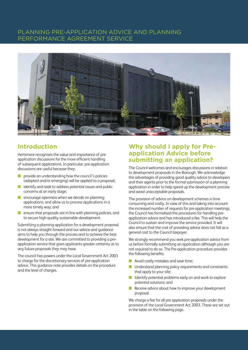### PLANNING PRE-APPLICATION ADVICE AND PLANNING PERFORMANCE AGREEMENT SERVICE



## **Introduction**

Hertsmere recognises the value and importance of preapplication discussions for the more effcient handling of subsequent applications. In particular, pre-application discussions are useful because they:

- $\mathcal{L}_{\mathcal{A}}$ provide an understanding how the council's policies (adopted and/or emerging) will be applied to a proposal;
- $\sim$ identify and seek to address potential issues and public concerns at an early stage;
- $\mathcal{L}_{\mathcal{A}}$ n encourage openness when we decide on planning applications, and allow us to process applications in a more timely way; and
- $\blacksquare$  ensure that proposals are in line with planning policies, and to secure high-quality sustainable development.

Submitting a planning application for a development proposal is not always straight forward and our advice and guidance aims to help you through the process and to achieve the best development for a site. We are committed to providing a preapplication service that gives applicants greater certainty as to any future proposals they may have.

The council has powers under the Local Government Act 2003 to charge for the discretionary services of pre-application advice. This guidance note provides details on the procedure and the level of charges.

## **Why should I apply for Preapplication Advice before submitting an application?**

The Council welcomes and encourages discussions in relation to development proposals in the Borough. We acknowledge the advantages of providing good quality advice to developers and their agents prior to the formal submission of a planning application in order to help speed up the development process and avoid unacceptable proposals.

The provision of advice on development schemes is time consuming and costly. In view of this and taking into account the increased number of requests for pre application meetings, the Council has formalised the procedures for handling preapplication advice and has introduced a fee. This will help the Council to sustain and improve the service provided. It will also ensure that the cost of providing advice does not fall as a general cost to the Council taxpayer.

We strongly recommend you seek pre-application advice from us before formally submitting an application although you are not required to do so. The Pre-application procedure provides the following benefts:

- Avoid costly mistakes and save time;
- **n** Understand planning policy requirements and constraints that apply to your site;
- $\blacksquare$  Identify potential problems early on and work to explore potential solutions; and
- $\blacksquare$  Receive advice about how to improve your development proposal.

We charge a fee for all pre application proposals under the provision of the Local Government Act 2003. These are set out in the table on the following page.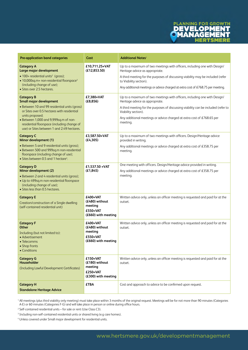

| Pre-application band categories                                                                                                                                                                                     | Cost                                                                     | <b>Additional Notes1</b>                                                                                                                                                                        |
|---------------------------------------------------------------------------------------------------------------------------------------------------------------------------------------------------------------------|--------------------------------------------------------------------------|-------------------------------------------------------------------------------------------------------------------------------------------------------------------------------------------------|
| <b>Category A</b><br>Large major development<br>• 100+ residential units <sup>2</sup> (gross);<br>• 10,000sq.m+ non-residential floorspace <sup>3</sup><br>(including change of use);<br>• Sites over 2.5 hectares. | £10,711.25+VAT<br>(£12,853.50)                                           | Up to a maximum of two meetings with officers, including one with Design/<br>Heritage advice as appropriate.<br>A third meeting for the purposes of discussing viability may be included (refer |
|                                                                                                                                                                                                                     |                                                                          | to Viability section).                                                                                                                                                                          |
|                                                                                                                                                                                                                     |                                                                          | Any additional meetings or advice charged at extra cost of £768.75 per meeting.                                                                                                                 |
| <b>Category B</b><br><b>Small major development</b>                                                                                                                                                                 | £7,380+VAT<br>(E8, 856)                                                  | Up to a maximum of two meetings with officers, including one with Design/<br>Heritage advice as appropriate.                                                                                    |
| • Between 10 and 99 residential units (gross)<br>or Sites over 0.5 hectares with residential<br>units proposed;                                                                                                     |                                                                          | A third meeting for the purposes of discussing viability can be included (refer to<br>Viability section).                                                                                       |
| • Between 1,000 and 9,999sq.m of non-<br>residential floorspace (including change of<br>use) or Sites between 1 and 2.49 hectares.                                                                                  |                                                                          | Any additional meetings or advice charged at extra cost of £768.65 per<br>meeting.                                                                                                              |
| <b>Category C</b><br>Minor development (1)                                                                                                                                                                          | £3,587.50+VAT<br>(E4, 305)                                               | Up to a maximum of two meetings with officers. Design/Heritage advice<br>provided in writing.                                                                                                   |
| • Between 5 and 9 residential units (gross);<br>• Between 500 and 999sq.m non-residential<br>floorspace (including change of use);<br>• Sites between 0.5 and 1 hectare <sup>4</sup> .                              |                                                                          | Any additional meetings or advice charged at extra cost of £358.75 per<br>meeting.                                                                                                              |
| <b>Category D</b>                                                                                                                                                                                                   | £1,537.50 + VAT<br>(E1, 845)                                             | One meeting with officers. Design/Heritage advice provided in writing.                                                                                                                          |
| Minor development (2)<br>• Between 2 and 4 residential units (gross);<br>• Up to 499sq.m non-residential floorspace<br>(including change of use);<br>• Sites less than 0.5 hectares.                                |                                                                          | Any additional meetings or advice charged at extra cost of £358.75 per<br>meeting.                                                                                                              |
| <b>Category E</b><br>Creation/construction of a Single dwelling<br>(self-contained residential unit)                                                                                                                | £400+VAT<br>(£480) without<br>meeting<br>£550+VAT<br>(£660) with meeting | Written advice only, unless an officer meeting is requested and paid for at the<br>outset.                                                                                                      |
| <b>Category F</b><br><b>Other</b>                                                                                                                                                                                   | £400+VAT<br>(£480) without<br>meeting                                    | Written advice only, unless an officer meeting is requested and paid for at the<br>outset.                                                                                                      |
| Including (but not limited to):<br>• Advertisement<br>• Telecomms                                                                                                                                                   | £550+VAT<br>$(E660)$ with meeting                                        |                                                                                                                                                                                                 |
| • Shop fronts<br>• Conditions                                                                                                                                                                                       |                                                                          |                                                                                                                                                                                                 |
| <b>Category G</b><br>Householder                                                                                                                                                                                    | £150+VAT<br>(£180) without<br>meeting<br>£250+VAT<br>(£300) with meeting | Written advice only, unless an officer meeting is requested and paid for at the<br>outset.                                                                                                      |
| (Including Lawful Development Certificates)                                                                                                                                                                         |                                                                          |                                                                                                                                                                                                 |
| <b>Category H</b><br><b>Standalone Heritage Advice</b>                                                                                                                                                              | <b>£TBA</b>                                                              | Cost and approach to advice to be confirmed upon request.                                                                                                                                       |

 <sup>1</sup>All meetings (plus third viability only meeting) must take place within 3 months of the original request. Meetings will be for not more than 90 minutes (Categories A-E) or 60 minutes (Categories F-G) and will take place in person or online during offce hours.

2 Self-contained residential units – for sale or rent (Use Class C3).

<sup>3</sup> Including non-self-contained residential units or shared living (e.g care homes).

4 Unless covered under Small major development for residential units.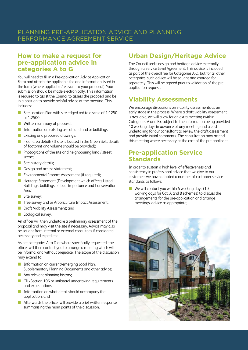## **How to make a request for pre-application advice in categories A to G**

You will need to fll in a Pre-application Advice Application Form and attach the applicable fee and information listed in the form (where applicable/relevant to your proposal). Your submission should be made electronically. This information is required to assist the Council to assess the proposal and be in a position to provide helpful advice at the meeting. This includes:

- **COL** Site Location Plan with site edged red to a scale of 1:1250 or 1:2500;
- $\blacksquare$  Written summary of proposal;
- **n** Information on existing use of land and or buildings;
- Existing and proposed drawings;
- $\blacksquare$  Floor area details (If site is located in the Green Belt, details of footprint and volume should be provided);
- $\mathcal{L}_{\mathcal{A}}$ Photographs of the site and neighbouring land / street scene;
- $\blacksquare$  Site history details;
- **n** Design and access statement;
- **n** Environmental Impact Assessment (if required);
- **n** Heritage Statement (Development which affects Listed Buildings, buildings of local importance and Conservation Area);
- $\Box$  Site survey;
- **n** Tree survey and or Arboriculture Impact Assessment;
- **n** Draft Viability Assessment; and
- $\blacksquare$  Ecological survey.

An officer will then undertake a preliminary assessment of the proposal and may visit the site if necessary. Advice may also be sought from internal or external consultees if considered necessary and expedient

As per categories A to D or where specifcally requested, the offcer will then contact you to arrange a meeting which will be informal and without prejudice. The scope of the discussion may extend to:

- **COL** n Information on current/emerging Local Plan, Supplementary Planning Documents and other advice;
- $\blacksquare$  Any relevant planning history;
- **n** CIL/Section 106 or unilateral undertaking requirements and expectations;
- $\blacksquare$  Information on what detail should accompany the application; and
- Afterwards the officer will provide a brief written response summarising the main points of the discussion.

## **Urban Design/Heritage Advice**

The Council seeks design and heritage advice externally through a Service Level Agreement. This advice is included as part of the overall fee for Categories A-D, but for all other categories, such advice will be sought and charged for separately. This will be agreed prior to validation of the preapplication request.

# **Viability Assessments**

We encourage discussions on viability assessments at an early stage in the process. Where a draft viability assessment is available, we will allow for an extra meeting (within Categories A and B), subject to the information being provided 10 working days in advance of any meeting and a cost undertaking for our consultant to review the draft assessment and provide initial comments. The consultation may attend this meeting where necessary at the cost of the pre-applicant.

## **Pre-application Service Standards**

In order to sustain a high level of effectiveness and consistency in professional advice that we give to our customers we have adopted a number of customer service standards as follows:

 $\blacksquare$  We will contact you within 5 working days (10 working days for Cat. A and B schemes) to discuss the arrangements for the pre-application and arrange meetings, advice as appropriate;

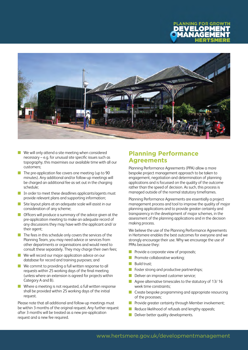



- $\blacksquare$  We will only attend a site meeting when considered necessary – e.g. for unusual site specifc issues such as topography, this maximises our available time with all our customers;
- $\blacksquare$  The pre-application fee covers one meeting (up to 90 minutes). Any additional and/or follow-up meetings will be charged an additional fee as set out in the charging schedule;
- $\blacksquare$  In order to meet these deadlines applicants/agents must provide relevant plans and supporting information;
- $\blacksquare$  Site layout plans at an adequate scale will assist in our consideration of any scheme;
- n Offcers will produce a summary of the advice given at the pre-application meeting to make an adequate record of any discussions they may have with the applicant and/ or their agent;
- $\blacksquare$  The fees in this schedule only covers the services of the Planning Team, you may need advice or services from other departments or organisations and would need to consult these separately. They may charge their own fees;
- **N** We will record our major application advice on our database for record and training purposes; and
- We commit to providing a full written response to all requests within 25 working days of the final meeting (unless where an extension is agreed for projects within Category A and B).
- $\sim 10$ Where a meeting is not requested, a full written response shall be provided within 25 working days of the initial request.

Please note that all additional and follow-up meetings must be within 3 months of the original request. Any further request after 3 months will be treated as a new pre-application request and a new fee required.

## **Planning Performance Agreements**

Planning Performance Agreements (PPA) allow a more bespoke project management approach to be taken to engagement, negotiation and determination of planning applications and is focussed on the quality of the outcome rather than the speed of decision. As such, this process is managed outside of the normal statutory timeframes.

Planning Performance Agreements are essentially a project management process and tool to improve the quality of major planning applications and to provide greater certainty and transparency in the development of major schemes, in the assessment of the planning applications and in the decision making process.

We believe the use of the Planning Performance Agreements in Hertsmere enables the best outcomes for everyone and we strongly encourage their use. Why we encourage the use of PPAs because they:

- Provide a corporate view of proposals;
- $\blacksquare$  Promote collaborative working:
- Build trust;
- $\blacksquare$  Foster strong and productive partnerships;
- Deliver an improved customer service;
- Agree alternative timescales to the statutory of  $13/16$ week time constraints;
- $\blacksquare$  Create bespoke programming and appropriate resourcing of the processes;
- Provide greater certainty through Member involvement;
- Reduce likelihood of refusals and lengthy appeals;
- Deliver better quality developments.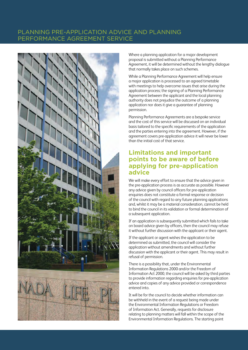## PLANNING PRE-APPLICATION ADVICE AND PLANNING PERFORMANCE AGREEMENT SERVICE



Where a planning application for a major development proposal is submitted without a Planning Performance Agreement, it will be determined without the lengthy dialogue that normally takes place on such schemes.

While a Planning Performance Agreement will help ensure a major application is processed to an agreed timetable with meetings to help overcome issues that arise during the application process; the signing of a Planning Performance Agreement between the applicant and the local planning authority does not prejudice the outcome of a planning application nor does it give a guarantee of planning permission.

Planning Performance Agreements are a bespoke service and the cost of this service will be discussed on an individual basis tailored to the specifc requirements of the application and the parties entering into the agreement. However, if the agreement covers pre-application advice it will never be lower than the initial cost of that service.

### **Limitations and important points to be aware of before applying for pre-application advice**

We will make every effort to ensure that the advice given in the pre-application process is as accurate as possible. However any advice given by council offcers for pre-application enquiries does not constitute a formal response or decision of the council with regard to any future planning applications and, whilst it may be a material consideration, cannot be held to bind the council in its validation or formal determination of a subsequent application.

If an application is subsequently submitted which fails to take on board advice given by offcers, then the council may refuse it without further discussion with the applicant or their agent.

If the applicant or agent wishes the application to be determined as submitted, the council will consider the application without amendments and without further discussion with the applicant or their agent. This may result in refusal of permission.

There is a possibility that, under the Environmental Information Regulations 2000 and/or the Freedom of Information Act 2000, the council will be asked by third parties to provide information regarding enquiries for pre-application advice and copies of any advice provided or correspondence entered into.

It will be for the council to decide whether information can be withheld in the event of a request being made under the Environmental Information Regulations or Freedom of Information Act. Generally, requests for disclosure relating to planning matters will fall within the scope of the Environmental Information Regulations. The starting point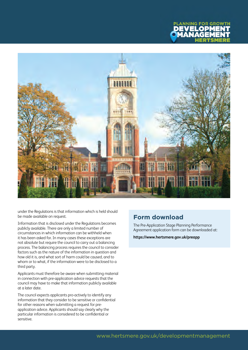



under the Regulations is that information which is held should be made available on request.

Information that is disclosed under the Regulations becomes publicly available. There are only a limited number of circumstances in which information can be withheld when it has been asked for. In many cases these exceptions are not absolute but require the council to carry out a balancing process. The balancing process requires the council to consider factors such as the nature of the information in question and how old it is, and what sort of harm could be caused, and to whom or to what, if the information were to be disclosed to a third party.

Applicants must therefore be aware when submitting material in connection with pre-application advice requests that the council may have to make that information publicly available at a later date.

The council expects applicants pro-actively to identify any information that they consider to be sensitive or confdential for other reasons when submitting a request for preapplication advice. Applicants should say clearly why the particular information is considered to be confdential or sensitive.

## **Form download**

The Pre-Application Stage Planning Performance Agreement application form can be downloaded at:

**https://www.hertsmere.gov.uk/preapp**